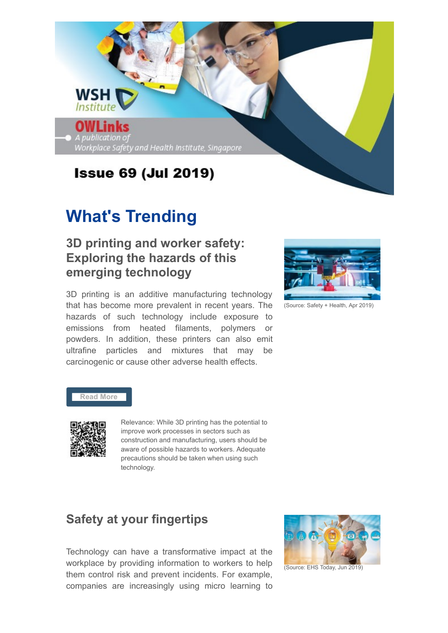

## **What's Trending**

## **3D printing and worker safety: Exploring the hazards of this emerging technology**

3D printing is an additive manufacturing technology that has become more prevalent in recent years. The hazards of such technology include exposure to emissions from heated filaments, polymers or powders. In addition, these printers can also emit ultrafine particles and mixtures that may be carcinogenic or cause other adverse health effects.



(Source: Safety + Health, Apr 2019)

#### **[Read More](https://www.safetyandhealthmagazine.com/articles/18295-d-printing-and-worker-safety)**



Relevance: While 3D printing has the potential to improve work processes in sectors such as construction and manufacturing, users should be aware of possible hazards to workers. Adequate precautions should be taken when using such technology.

## **Safety at your fingertips**

Technology can have a transformative impact at the workplace by providing information to workers to help them control risk and prevent incidents. For example, companies are increasingly using micro learning to



(Source: EHS Today, Jun 2019)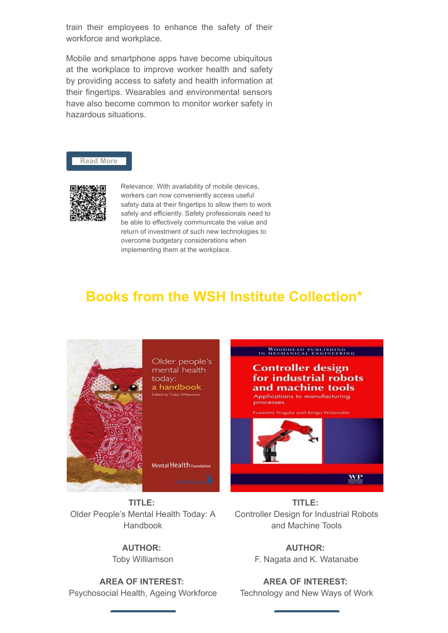train their employees to enhance the safety of their workforce and workplace.

Mobile and smartphone apps have become ubiquitous at the workplace to improve worker health and safety by providing access to safety and health information at their fingertips. Wearables and environmental sensors have also become common to monitor worker safety in hazardous situations.





Relevance: With availability of mobile devices, workers can now conveniently access useful safety data at their fingertips to allow them to work safely and efficiently. Safety professionals need to be able to effectively communicate the value and return of investment of such new technologies to overcome budgetary considerations when implementing them at the workplace.

## **Books from the WSH Institute Collection\***



**TITLE:** Older People's Mental Health Today: A Handbook

#### **AUTHOR:**

Toby Williamson

**AREA OF INTEREST:** Psychosocial Health, Ageing Workforce

**TITLE:** Controller Design for Industrial Robots and Machine Tools

> **AUTHOR:** F. Nagata and K. Watanabe

**AREA OF INTEREST:** Technology and New Ways of Work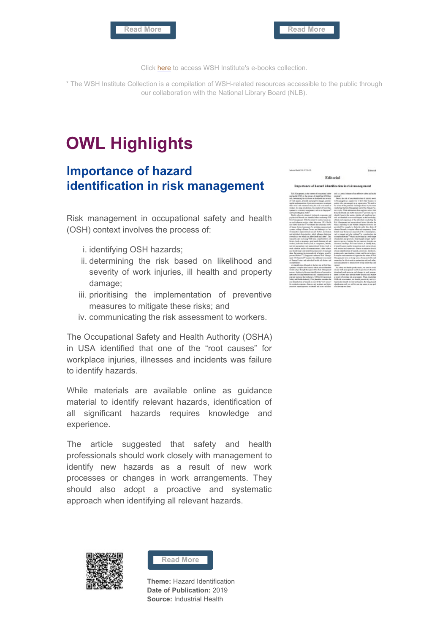

Click [here](https://nlb.overdrive.com/library/sponsoredcollections/collection/24147) to access WSH Institute's e-books collection.

\* The WSH Institute Collection is a compilation of WSH-related resources accessible to the public through our collaboration with the National Library Board (NLB).

# **OWL Highlights**

#### **Importance of hazard identification in risk management**

Risk management in occupational safety and health (OSH) context involves the process of:

- i. identifying OSH hazards;
- ii. determining the risk based on likelihood and severity of work injuries, ill health and property damage;
- iii. prioritising the implementation of preventive measures to mitigate these risks; and
- iv. communicating the risk assessment to workers.

The Occupational Safety and Health Authority (OSHA) in USA identified that one of the "root causes" for workplace injuries, illnesses and incidents was failure to identify hazards.

While materials are available online as guidance material to identify relevant hazards, identification of all significant hazards requires knowledge and experience.

The article suggested that safety and health professionals should work closely with management to identify new hazards as a result of new work processes or changes in work arrangements. They should also adopt a proactive and systematic approach when identifying all relevant hazards.





**Theme:** Hazard Identification **Date of Publication:** 2019 **Source:** Industrial Health

| Editorial                                              |  |
|--------------------------------------------------------|--|
| Impertance of hazard identification in risk management |  |

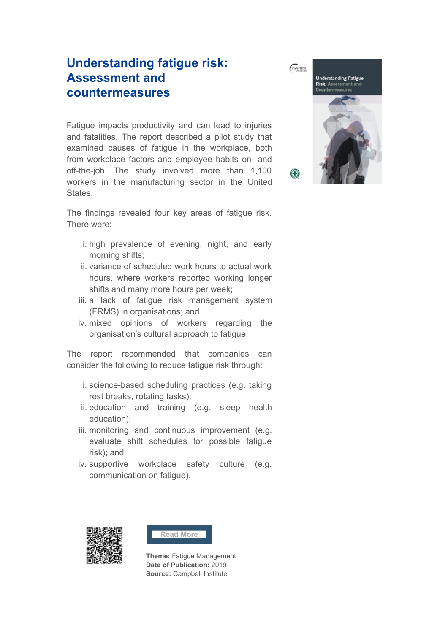## **Understanding fatigue risk: Assessment and countermeasures**

Fatigue impacts productivity and can lead to injuries and fatalities. The report described a pilot study that examined causes of fatigue in the workplace, both from workplace factors and employee habits on- and off-the-job. The study involved more than 1,100 workers in the manufacturing sector in the United States.

The findings revealed four key areas of fatigue risk. There were:

- i. high prevalence of evening, night, and early morning shifts;
- ii. variance of scheduled work hours to actual work hours, where workers reported working longer shifts and many more hours per week;
- iii. a lack of fatigue risk management system (FRMS) in organisations; and
- iv. mixed opinions of workers regarding the organisation's cultural approach to fatigue.

The report recommended that companies can consider the following to reduce fatigue risk through:

- i. science-based scheduling practices (e.g. taking rest breaks, rotating tasks);
- ii. education and training (e.g. sleep health education);
- iii. monitoring and continuous improvement (e.g. evaluate shift schedules for possible fatigue risk); and
- iv. supportive workplace safety culture (e.g. communication on fatigue).





**Theme:** Fatigue Management **Date of Publication:** 2019 **Source:** Campbell Institute

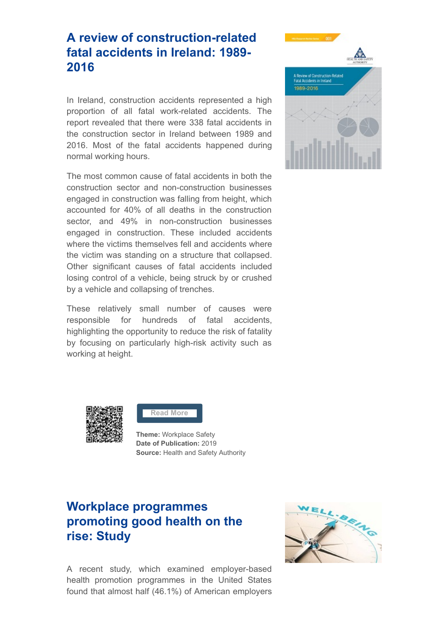## **A review of construction-related fatal accidents in Ireland: 1989- 2016**

In Ireland, construction accidents represented a high proportion of all fatal work-related accidents. The report revealed that there were 338 fatal accidents in the construction sector in Ireland between 1989 and 2016. Most of the fatal accidents happened during normal working hours.

The most common cause of fatal accidents in both the construction sector and non-construction businesses engaged in construction was falling from height, which accounted for 40% of all deaths in the construction sector, and 49% in non-construction businesses engaged in construction. These included accidents where the victims themselves fell and accidents where the victim was standing on a structure that collapsed. Other significant causes of fatal accidents included losing control of a vehicle, being struck by or crushed by a vehicle and collapsing of trenches.

These relatively small number of causes were responsible for hundreds of fatal accidents, highlighting the opportunity to reduce the risk of fatality by focusing on particularly high-risk activity such as working at height.





#### **[Read More](https://www.hsa.ie/eng/publications_and_forms/publications/construction/a_review_of_construction-related_fatal_accidents_in_ireland_1989_-_2016.pdf)**

**Theme:** Workplace Safety **Date of Publication:** 2019 **Source: Health and Safety Authority** 

## **Workplace programmes promoting good health on the rise: Study**

A recent study, which examined employer-based health promotion programmes in the United States found that almost half (46.1%) of American employers

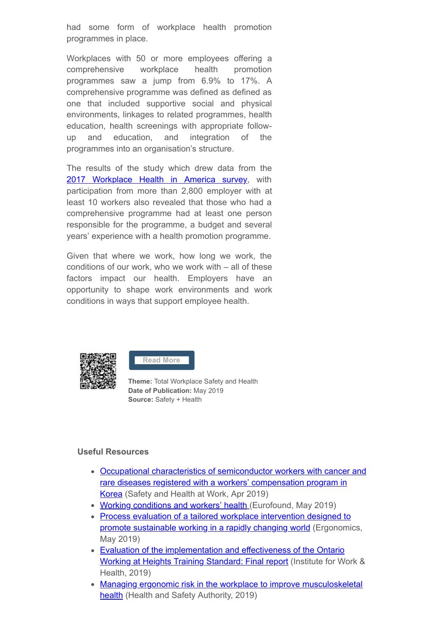had some form of workplace health promotion programmes in place.

Workplaces with 50 or more employees offering a comprehensive workplace health promotion programmes saw a jump from 6.9% to 17%. A comprehensive programme was defined as defined as one that included supportive social and physical environments, linkages to related programmes, health education, health screenings with appropriate followup and education, and integration of the programmes into an organisation's structure.

The results of the study which drew data from the [2017 Workplace Health in America survey,](https://www.cdc.gov/workplacehealthpromotion/data-surveillance/index.html) with participation from more than 2,800 employer with at least 10 workers also revealed that those who had a comprehensive programme had at least one person responsible for the programme, a budget and several years' experience with a health promotion programme.

Given that where we work, how long we work, the conditions of our work, who we work with – all of these factors impact our health. Employers have an opportunity to shape work environments and work conditions in ways that support employee health.



**[Read More](https://www.safetyandhealthmagazine.com/articles/18369-workplace-programs-promoting-good-health-on-the-rise-study)**

**Theme:** Total Workplace Safety and Health **Date of Publication:** May 2019 **Source:** Safety + Health

#### **Useful Resources**

- [Occupational characteristics of semiconductor workers with cancer and](https://www.sciencedirect.com/science/article/pii/S2093791118304001) rare diseases registered with a workers' compensation program in Korea (Safety and Health at Work, Apr 2019)
- [Working conditions and workers' health](https://www.eurofound.europa.eu/sites/default/files/ef_publication/field_ef_document/ef18041en.pdf) (Eurofound, May 2019)
- [Process evaluation of a tailored workplace intervention designed to](https://www.tandfonline.com/doi/full/10.1080/00140139.2019.1614212) promote sustainable working in a rapidly changing world (Ergonomics, May 2019)
- [Evaluation of the implementation and effectiveness of the Ontario](https://www.iwh.on.ca/sites/iwh/files/iwh/reports/iwh_report_wah_evaluation_project1360_final_report_2019.pdf) Working at Heights Training Standard: Final report (Institute for Work & Health, 2019)
- [Managing ergonomic risk in the workplace to improve musculoskeletal](https://www.hsa.ie/eng/publications_and_forms/publications/manual_handling_and_musculoskeletal_disorders/managing_ergonomic_risk_in_the_workplace_to_improve_musculoskeletal_health.html) health (Health and Safety Authority, 2019)